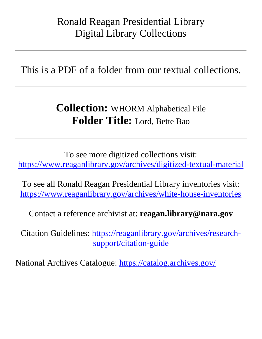## Ronald Reagan Presidential Library Digital Library Collections

This is a PDF of a folder from our textual collections.

## **Collection:** WHORM Alphabetical File **Folder Title:** Lord, Bette Bao

To see more digitized collections visit: <https://www.reaganlibrary.gov/archives/digitized-textual-material>

To see all Ronald Reagan Presidential Library inventories visit: <https://www.reaganlibrary.gov/archives/white-house-inventories>

Contact a reference archivist at: **reagan.library@nara.gov**

Citation Guidelines: [https://reaganlibrary.gov/archives/research](https://reaganlibrary.gov/archives/research-support/citation-guide)[support/citation-guide](https://reaganlibrary.gov/archives/research-support/citation-guide)

National Archives Catalogue:<https://catalog.archives.gov/>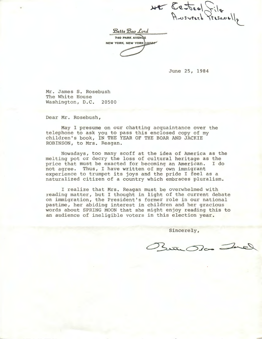NE Cesteal File

 $B$ *ette Bao Lord* 740 PARK AVENUE NEW YORK, NEW YORK 19021

June 25, 1984

Mr. James S. Rosebush The White House Washington, D.C. 20500

Dear Mr. Rosebush,

May I presume on our chatting acquaintance over the telephone to ask you to pass this enclosed copy of my children's book, IN THE YEAR OF THE BOAR AND JACKIE ROBINSON, to Mrs. Reagan.

Nowadays, too many scoff at the idea of America as the melting pot or decry the loss of cultural heritage as the price that must be exacted for becoming an American. I do not agree. Thus, I have written of my own immigrant experience to trumpet its joys and the pride I feel as a naturalized citizen of a country which embraces pluralism.

I realize that Mrs. Reagan must be overwhelmed with reading matter, but I thought in light of the current debate on immigration, the President's former role in our national pastine, her abiding interest in children and her gracious words about SPRING MOON that she might enjoy reading this to an audience of ineligible voters in this election year.

Sincerely,

Butte Ba Jacq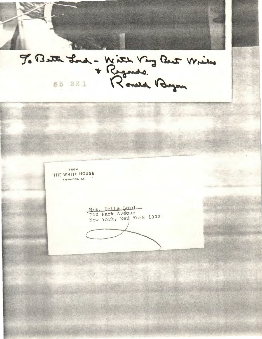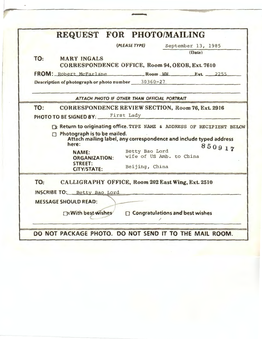|     | REQUEST FOR PHOTO/MAILING                                                                                              |                                              |                                                                    |
|-----|------------------------------------------------------------------------------------------------------------------------|----------------------------------------------|--------------------------------------------------------------------|
|     |                                                                                                                        | (PLEASE TYPE)                                | September 13, 1985                                                 |
|     |                                                                                                                        |                                              | (Date)                                                             |
| TO: | <b>MARY INGALS</b><br>CORRESPONDENCE OFFICE, Room 94, OEOB, Ext. 7610                                                  |                                              |                                                                    |
|     | FROM: Robert McFarlane Room WW Ext. 2255                                                                               |                                              |                                                                    |
|     | Description of photograph or photo number 30360-27                                                                     |                                              |                                                                    |
|     |                                                                                                                        | ATTACH PHOTO IF OTHER THAN OFFICIAL PORTRAIT |                                                                    |
| TO: | <b>CORRESPONDENCE REVIEW SECTION, Room 76, Ext. 2916</b>                                                               |                                              |                                                                    |
|     | PHOTO TO BE SIGNED BY: First Lady                                                                                      |                                              |                                                                    |
|     |                                                                                                                        |                                              |                                                                    |
|     |                                                                                                                        |                                              |                                                                    |
|     | Ex Return to originating office. TYPE NAME & ADDRESS OF RECIPIENT BELOW<br>$\Box$ Photograph is to be mailed.<br>here: |                                              | Attach mailing label, any correspondence and include typed address |
|     | <b>NAME:</b><br><b>ORGANIZATION:</b>                                                                                   | Betty Bao Lord<br>wife of US Amb. to China   | 850917                                                             |
|     | <b>STREET:</b><br><b>CITY/STATE:</b>                                                                                   | Beijing, China                               |                                                                    |
| TO: | CALLIGRAPHY OFFICE, Room 202 East Wing, Ext. 2510                                                                      |                                              |                                                                    |
|     | <b>INSCRIBE TO:</b> Betty Bao Lord                                                                                     |                                              |                                                                    |
|     | <b>MESSAGE SHOULD READ:</b>                                                                                            |                                              |                                                                    |

 $\bar{\phantom{a}}$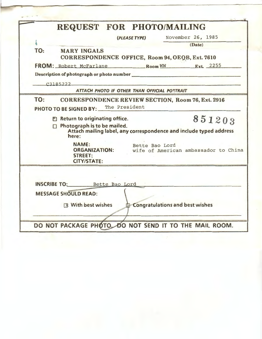|     | REQUEST FOR PHOTO/MAILING                                                                                                              |  |  |
|-----|----------------------------------------------------------------------------------------------------------------------------------------|--|--|
|     | November 26, 1985<br>(PLEASE TYPE)                                                                                                     |  |  |
|     | (Date)                                                                                                                                 |  |  |
| TO: | <b>MARY INGALS</b><br>CORRESPONDENCE OFFICE, Room 94, OEQB, Ext. 7610                                                                  |  |  |
|     | FROM: Robert McFarlane Room WW Ext. 2255                                                                                               |  |  |
|     | Description of photograph or photo number                                                                                              |  |  |
|     | C3185222                                                                                                                               |  |  |
|     | ATTACH PHOTO IF OTHER THAN OFFICIAL PORTRAIT                                                                                           |  |  |
| TO: | <b>CORRESPONDENCE REVIEW SECTION, Room 76, Ext. 2916</b>                                                                               |  |  |
|     | PHOTO TO BE SIGNED BY: The President                                                                                                   |  |  |
|     | 851203<br>图 Return to originating office.                                                                                              |  |  |
|     | Photograph is to be mailed.<br>Attach mailing label, any correspondence and include typed address<br>here:                             |  |  |
|     | <b>NAME:</b><br>Bette Bao Lord<br><b>ORGANIZATION:</b><br>wife of American ambassador to China<br><b>STREET:</b><br><b>CITY/STATE:</b> |  |  |
|     |                                                                                                                                        |  |  |
|     | INSCRIBE TO: Bette Bao Lord                                                                                                            |  |  |
|     | <b>MESSAGE SHOULD READ:</b>                                                                                                            |  |  |
|     | Congratulations and best wishes<br><b>区 With best wishes</b>                                                                           |  |  |
|     |                                                                                                                                        |  |  |
|     | DO NOT PACKAGE PHOTO. DO NOT SEND IT TO THE MAIL ROOM.                                                                                 |  |  |